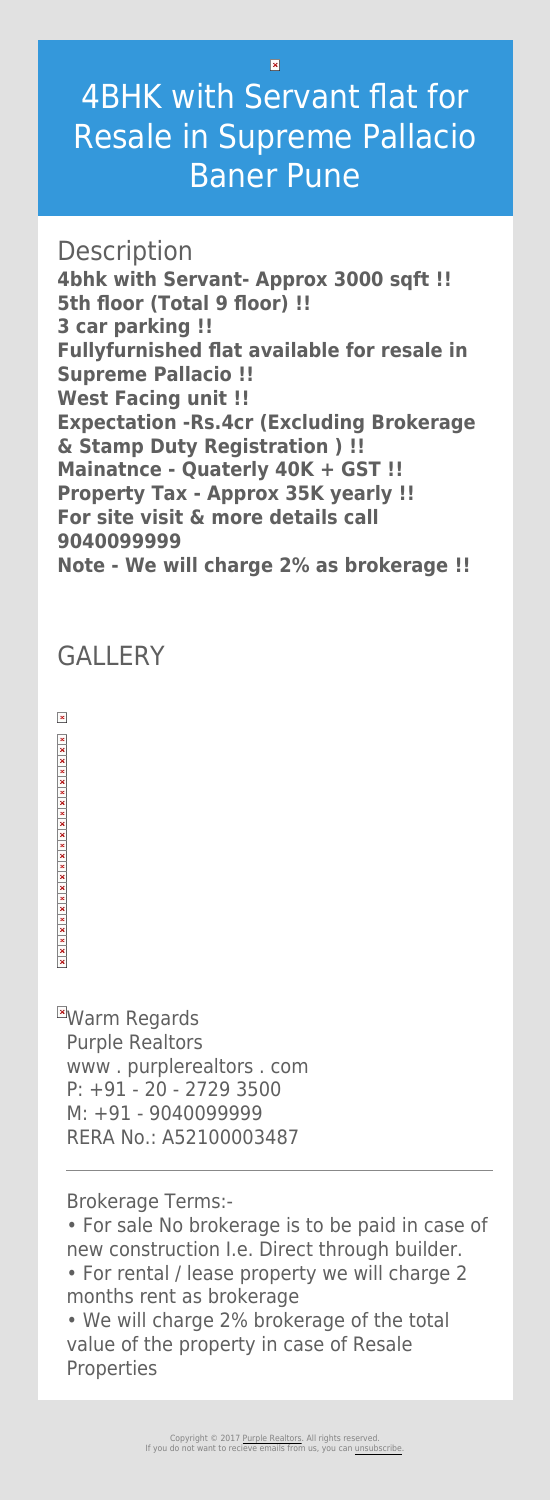$\overline{\mathbf{x}}$ 

## 4BHK with Servant flat for Resale in Supreme Pallacio Baner Pune

**Description 4bhk with Servant- Approx 3000 sqft !! 5th floor (Total 9 floor) !! 3 car parking !! Fullyfurnished flat available for resale in Supreme Pallacio !! West Facing unit !! Expectation -Rs.4cr (Excluding Brokerage & Stamp Duty Registration ) !! Mainatnce - Quaterly 40K + GST !! Property Tax - Approx 35K yearly !! For site visit & more details call 9040099999 Note - We will charge 2% as brokerage !!**

**EWarm Regards** Purple Realtors www . purplerealtors . com P: +91 - 20 - 2729 3500 M: +91 - 9040099999 RERA No.: A52100003487

## GALLERY

 $\pmb{\times}$ 

 $x \mid x \mid x \mid x \mid x$ 

Brokerage Terms:-

• For sale No brokerage is to be paid in case of new construction I.e. Direct through builder.

- For rental / lease property we will charge 2 months rent as brokerage
- We will charge 2% brokerage of the total value of the property in case of Resale Properties